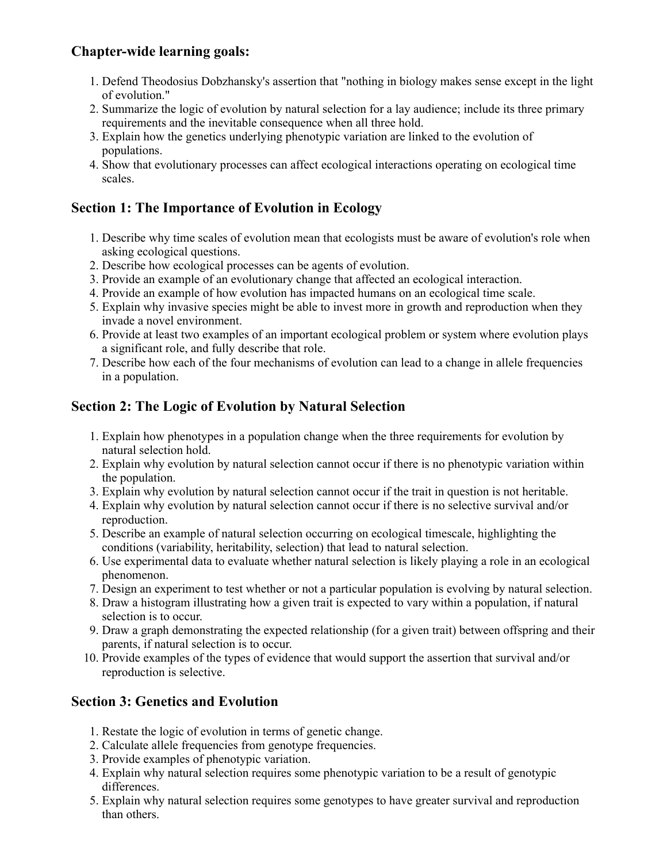## **Chapter-wide learning goals:**

- 1. Defend Theodosius Dobzhansky's assertion that "nothing in biology makes sense except in the light of evolution."
- 2. Summarize the logic of evolution by natural selection for a lay audience; include its three primary requirements and the inevitable consequence when all three hold.
- 3. Explain how the genetics underlying phenotypic variation are linked to the evolution of populations.
- 4. Show that evolutionary processes can affect ecological interactions operating on ecological time scales.

## **Section 1: The Importance of Evolution in Ecology**

- 1. Describe why time scales of evolution mean that ecologists must be aware of evolution's role when asking ecological questions.
- 2. Describe how ecological processes can be agents of evolution.
- 3. Provide an example of an evolutionary change that affected an ecological interaction.
- 4. Provide an example of how evolution has impacted humans on an ecological time scale.
- 5. Explain why invasive species might be able to invest more in growth and reproduction when they invade a novel environment.
- 6. Provide at least two examples of an important ecological problem or system where evolution plays a significant role, and fully describe that role.
- 7. Describe how each of the four mechanisms of evolution can lead to a change in allele frequencies in a population.

# **Section 2: The Logic of Evolution by Natural Selection**

- 1. Explain how phenotypes in a population change when the three requirements for evolution by natural selection hold.
- 2. Explain why evolution by natural selection cannot occur if there is no phenotypic variation within the population.
- 3. Explain why evolution by natural selection cannot occur if the trait in question is not heritable.
- 4. Explain why evolution by natural selection cannot occur if there is no selective survival and/or reproduction.
- 5. Describe an example of natural selection occurring on ecological timescale, highlighting the conditions (variability, heritability, selection) that lead to natural selection.
- 6. Use experimental data to evaluate whether natural selection is likely playing a role in an ecological phenomenon.
- 7. Design an experiment to test whether or not a particular population is evolving by natural selection.
- 8. Draw a histogram illustrating how a given trait is expected to vary within a population, if natural selection is to occur.
- 9. Draw a graph demonstrating the expected relationship (for a given trait) between offspring and their parents, if natural selection is to occur.
- 10. Provide examples of the types of evidence that would support the assertion that survival and/or reproduction is selective.

## **Section 3: Genetics and Evolution**

- 1. Restate the logic of evolution in terms of genetic change.
- 2. Calculate allele frequencies from genotype frequencies.
- 3. Provide examples of phenotypic variation.
- 4. Explain why natural selection requires some phenotypic variation to be a result of genotypic differences.
- 5. Explain why natural selection requires some genotypes to have greater survival and reproduction than others.